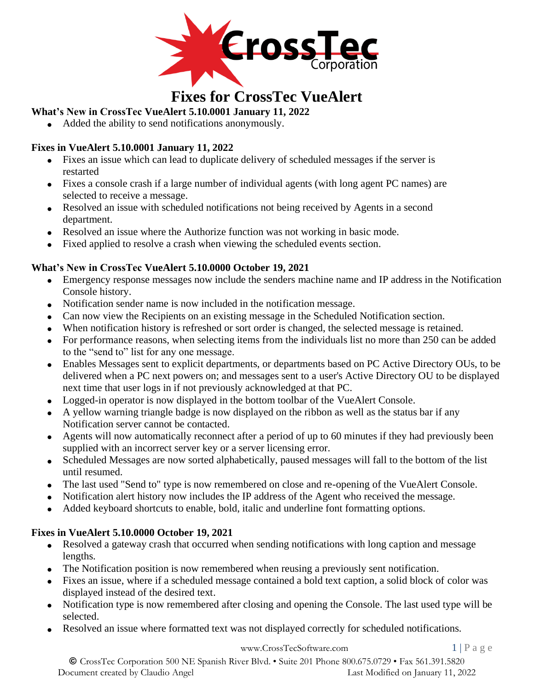

# **Fixes for CrossTec VueAlert**

# **What's New in CrossTec VueAlert 5.10.0001 January 11, 2022**

• Added the ability to send notifications anonymously.

# **Fixes in VueAlert 5.10.0001 January 11, 2022**

- Fixes an issue which can lead to duplicate delivery of scheduled messages if the server is restarted
- Fixes a console crash if a large number of individual agents (with long agent PC names) are selected to receive a message.
- Resolved an issue with scheduled notifications not being received by Agents in a second department.
- Resolved an issue where the Authorize function was not working in basic mode.
- Fixed applied to resolve a crash when viewing the scheduled events section.

# **What's New in CrossTec VueAlert 5.10.0000 October 19, 2021**

- Emergency response messages now include the senders machine name and IP address in the Notification Console history.
- Notification sender name is now included in the notification message.
- Can now view the Recipients on an existing message in the Scheduled Notification section.
- When notification history is refreshed or sort order is changed, the selected message is retained.
- For performance reasons, when selecting items from the individuals list no more than 250 can be added to the "send to" list for any one message.
- Enables Messages sent to explicit departments, or departments based on PC Active Directory OUs, to be delivered when a PC next powers on; and messages sent to a user's Active Directory OU to be displayed next time that user logs in if not previously acknowledged at that PC.
- Logged-in operator is now displayed in the bottom toolbar of the VueAlert Console.
- A yellow warning triangle badge is now displayed on the ribbon as well as the status bar if any Notification server cannot be contacted.
- Agents will now automatically reconnect after a period of up to 60 minutes if they had previously been supplied with an incorrect server key or a server licensing error.
- Scheduled Messages are now sorted alphabetically, paused messages will fall to the bottom of the list until resumed.
- The last used "Send to" type is now remembered on close and re-opening of the VueAlert Console.
- Notification alert history now includes the IP address of the Agent who received the message.
- Added keyboard shortcuts to enable, bold, italic and underline font formatting options.

### **Fixes in VueAlert 5.10.0000 October 19, 2021**

- Resolved a gateway crash that occurred when sending notifications with long caption and message lengths.
- The Notification position is now remembered when reusing a previously sent notification.
- Fixes an issue, where if a scheduled message contained a bold text caption, a solid block of color was displayed instead of the desired text.
- Notification type is now remembered after closing and opening the Console. The last used type will be selected.
- Resolved an issue where formatted text was not displayed correctly for scheduled notifications.

#### [www.CrossTecSoftware.com](http://www.crosstecsoftware.com/) 1 | P a g e

© CrossTec Corporation 500 NE Spanish River Blvd. • Suite 201 Phone 800.675.0729 • Fax 561.391.5820 Document created by Claudio Angel Last Modified on January 11, 2022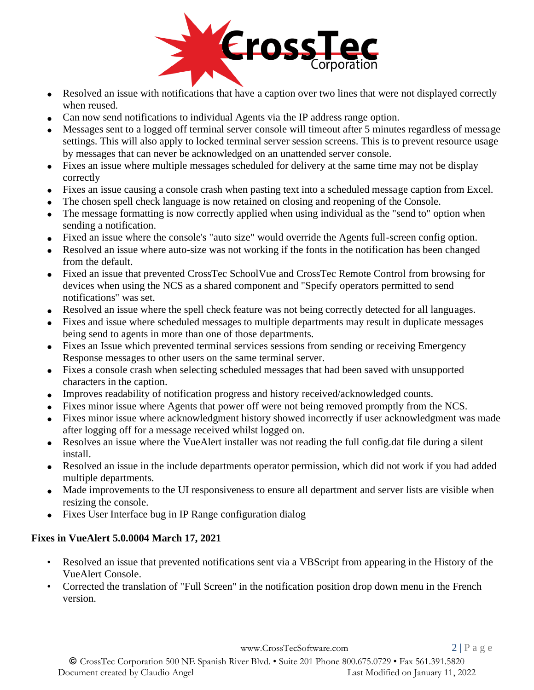

- Resolved an issue with notifications that have a caption over two lines that were not displayed correctly when reused.
- Can now send notifications to individual Agents via the IP address range option.
- Messages sent to a logged off terminal server console will timeout after 5 minutes regardless of message settings. This will also apply to locked terminal server session screens. This is to prevent resource usage by messages that can never be acknowledged on an unattended server console.
- Fixes an issue where multiple messages scheduled for delivery at the same time may not be display correctly
- Fixes an issue causing a console crash when pasting text into a scheduled message caption from Excel.
- The chosen spell check language is now retained on closing and reopening of the Console.
- The message formatting is now correctly applied when using individual as the "send to" option when sending a notification.
- Fixed an issue where the console's "auto size" would override the Agents full-screen config option.
- Resolved an issue where auto-size was not working if the fonts in the notification has been changed from the default.
- Fixed an issue that prevented CrossTec SchoolVue and CrossTec Remote Control from browsing for devices when using the NCS as a shared component and "Specify operators permitted to send notifications" was set.
- Resolved an issue where the spell check feature was not being correctly detected for all languages.
- Fixes and issue where scheduled messages to multiple departments may result in duplicate messages being send to agents in more than one of those departments.
- Fixes an Issue which prevented terminal services sessions from sending or receiving Emergency Response messages to other users on the same terminal server.
- Fixes a console crash when selecting scheduled messages that had been saved with unsupported characters in the caption.
- Improves readability of notification progress and history received/acknowledged counts.
- Fixes minor issue where Agents that power off were not being removed promptly from the NCS.
- Fixes minor issue where acknowledgment history showed incorrectly if user acknowledgment was made after logging off for a message received whilst logged on.
- Resolves an issue where the VueAlert installer was not reading the full config.dat file during a silent install.
- Resolved an issue in the include departments operator permission, which did not work if you had added multiple departments.
- Made improvements to the UI responsiveness to ensure all department and server lists are visible when resizing the console.
- Fixes User Interface bug in IP Range configuration dialog

### **Fixes in VueAlert 5.0.0004 March 17, 2021**

- Resolved an issue that prevented notifications sent via a VBScript from appearing in the History of the VueAlert Console.
- Corrected the translation of "Full Screen" in the notification position drop down menu in the French version.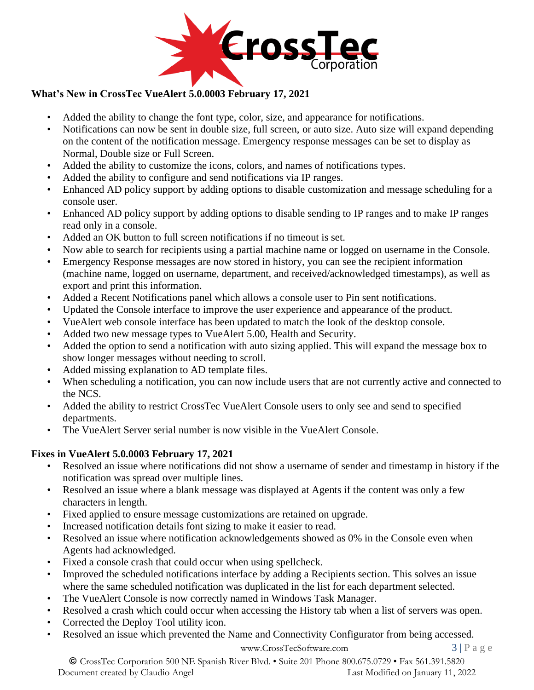

# **What's New in CrossTec VueAlert 5.0.0003 February 17, 2021**

- Added the ability to change the font type, color, size, and appearance for notifications.
- Notifications can now be sent in double size, full screen, or auto size. Auto size will expand depending on the content of the notification message. Emergency response messages can be set to display as Normal, Double size or Full Screen.
- Added the ability to customize the icons, colors, and names of notifications types.
- Added the ability to configure and send notifications via IP ranges.
- Enhanced AD policy support by adding options to disable customization and message scheduling for a console user.
- Enhanced AD policy support by adding options to disable sending to IP ranges and to make IP ranges read only in a console.
- Added an OK button to full screen notifications if no timeout is set.
- Now able to search for recipients using a partial machine name or logged on username in the Console.
- Emergency Response messages are now stored in history, you can see the recipient information (machine name, logged on username, department, and received/acknowledged timestamps), as well as export and print this information.
- Added a Recent Notifications panel which allows a console user to Pin sent notifications.
- Updated the Console interface to improve the user experience and appearance of the product.
- VueAlert web console interface has been updated to match the look of the desktop console.
- Added two new message types to VueAlert 5.00, Health and Security.
- Added the option to send a notification with auto sizing applied. This will expand the message box to show longer messages without needing to scroll.
- Added missing explanation to AD template files.
- When scheduling a notification, you can now include users that are not currently active and connected to the NCS.
- Added the ability to restrict CrossTec VueAlert Console users to only see and send to specified departments.
- The VueAlert Server serial number is now visible in the VueAlert Console.

### **Fixes in VueAlert 5.0.0003 February 17, 2021**

- Resolved an issue where notifications did not show a username of sender and timestamp in history if the notification was spread over multiple lines.
- Resolved an issue where a blank message was displayed at Agents if the content was only a few characters in length.
- Fixed applied to ensure message customizations are retained on upgrade.
- Increased notification details font sizing to make it easier to read.
- Resolved an issue where notification acknowledgements showed as 0% in the Console even when Agents had acknowledged.
- Fixed a console crash that could occur when using spellcheck.
- Improved the scheduled notifications interface by adding a Recipients section. This solves an issue where the same scheduled notification was duplicated in the list for each department selected.
- The VueAlert Console is now correctly named in Windows Task Manager.
- Resolved a crash which could occur when accessing the History tab when a list of servers was open.
- Corrected the Deploy Tool utility icon.
- Resolved an issue which prevented the Name and Connectivity Configurator from being accessed.

[www.CrossTecSoftware.com](http://www.crosstecsoftware.com/) 3 | P a g e

© CrossTec Corporation 500 NE Spanish River Blvd. • Suite 201 Phone 800.675.0729 • Fax 561.391.5820 Document created by Claudio Angel Last Modified on January 11, 2022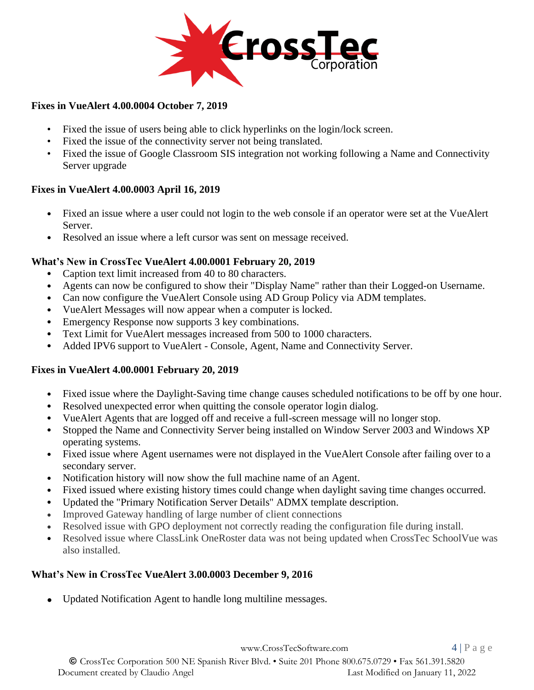

#### **Fixes in VueAlert 4.00.0004 October 7, 2019**

- Fixed the issue of users being able to click hyperlinks on the login/lock screen.
- Fixed the issue of the connectivity server not being translated.
- Fixed the issue of Google Classroom SIS integration not working following a Name and Connectivity Server upgrade

### **Fixes in VueAlert 4.00.0003 April 16, 2019**

- Fixed an issue where a user could not login to the web console if an operator were set at the VueAlert Server.
- Resolved an issue where a left cursor was sent on message received.

### **What's New in CrossTec VueAlert 4.00.0001 February 20, 2019**

- Caption text limit increased from 40 to 80 characters.
- Agents can now be configured to show their "Display Name" rather than their Logged-on Username.
- Can now configure the VueAlert Console using AD Group Policy via ADM templates.
- VueAlert Messages will now appear when a computer is locked.
- Emergency Response now supports 3 key combinations.
- Text Limit for VueAlert messages increased from 500 to 1000 characters.
- Added IPV6 support to VueAlert Console, Agent, Name and Connectivity Server.

### **Fixes in VueAlert 4.00.0001 February 20, 2019**

- Fixed issue where the Daylight-Saving time change causes scheduled notifications to be off by one hour.
- Resolved unexpected error when quitting the console operator login dialog.
- VueAlert Agents that are logged off and receive a full-screen message will no longer stop.
- Stopped the Name and Connectivity Server being installed on Window Server 2003 and Windows XP operating systems.
- Fixed issue where Agent usernames were not displayed in the VueAlert Console after failing over to a secondary server.
- Notification history will now show the full machine name of an Agent.
- Fixed issued where existing history times could change when daylight saving time changes occurred.
- Updated the "Primary Notification Server Details" ADMX template description.
- Improved Gateway handling of large number of client connections
- Resolved issue with GPO deployment not correctly reading the configuration file during install.
- Resolved issue where ClassLink OneRoster data was not being updated when CrossTec SchoolVue was also installed.

# **What's New in CrossTec VueAlert 3.00.0003 December 9, 2016**

• Updated Notification Agent to handle long multiline messages.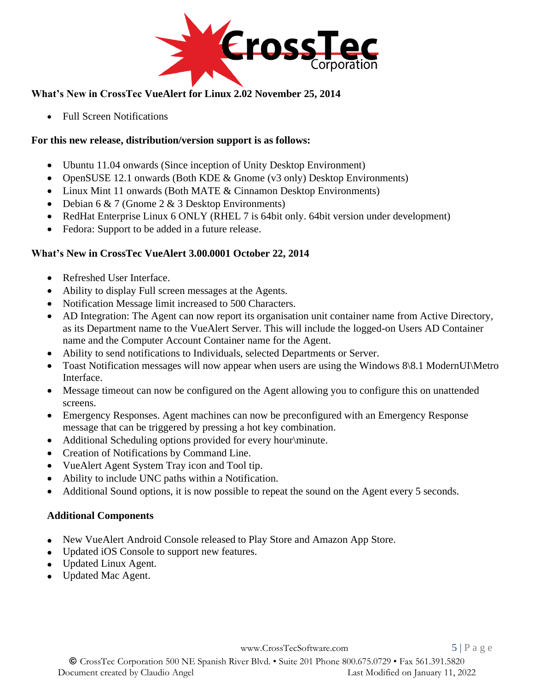

# **What's New in CrossTec VueAlert for Linux 2.02 November 25, 2014**

• Full Screen Notifications

## **For this new release, distribution/version support is as follows:**

- Ubuntu 11.04 onwards (Since inception of Unity Desktop Environment)
- OpenSUSE 12.1 onwards (Both KDE & Gnome (v3 only) Desktop Environments)
- Linux Mint 11 onwards (Both MATE & Cinnamon Desktop Environments)
- Debian 6  $& 7$  (Gnome 2  $& 3$  Desktop Environments)
- RedHat Enterprise Linux 6 ONLY (RHEL 7 is 64bit only. 64bit version under development)
- Fedora: Support to be added in a future release.

## **What's New in CrossTec VueAlert 3.00.0001 October 22, 2014**

- Refreshed User Interface.
- Ability to display Full screen messages at the Agents.
- Notification Message limit increased to 500 Characters.
- AD Integration: The Agent can now report its organisation unit container name from Active Directory, as its Department name to the VueAlert Server. This will include the logged-on Users AD Container name and the Computer Account Container name for the Agent.
- Ability to send notifications to Individuals, selected Departments or Server.
- Toast Notification messages will now appear when users are using the Windows 8\8.1 ModernUI\Metro Interface.
- Message timeout can now be configured on the Agent allowing you to configure this on unattended screens.
- Emergency Responses. Agent machines can now be preconfigured with an Emergency Response message that can be triggered by pressing a hot key combination.
- Additional Scheduling options provided for every hour\minute.
- Creation of Notifications by Command Line.
- VueAlert Agent System Tray icon and Tool tip.
- Ability to include UNC paths within a Notification.
- Additional Sound options, it is now possible to repeat the sound on the Agent every 5 seconds.

### **Additional Components**

- New VueAlert Android Console released to Play Store and Amazon App Store.
- Updated iOS Console to support new features.
- Updated Linux Agent.
- Updated Mac Agent.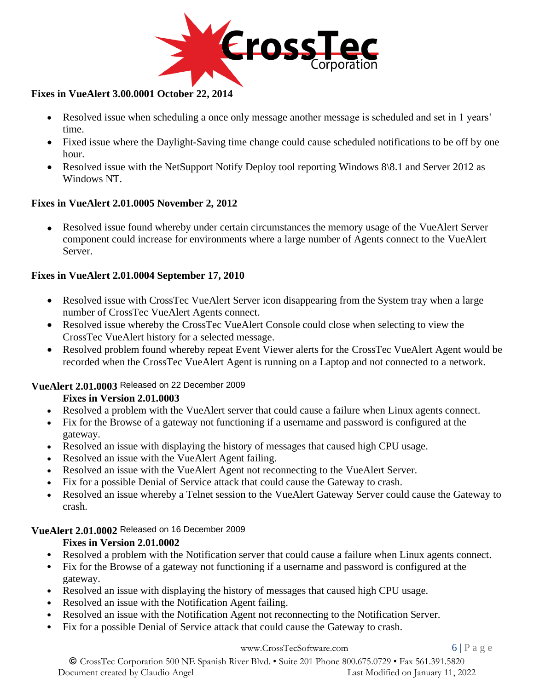

### **Fixes in VueAlert 3.00.0001 October 22, 2014**

- Resolved issue when scheduling a once only message another message is scheduled and set in 1 years' time.
- Fixed issue where the Daylight-Saving time change could cause scheduled notifications to be off by one hour.
- Resolved issue with the NetSupport Notify Deploy tool reporting Windows 8\8.1 and Server 2012 as Windows NT.

#### **Fixes in VueAlert 2.01.0005 November 2, 2012**

• Resolved issue found whereby under certain circumstances the memory usage of the VueAlert Server component could increase for environments where a large number of Agents connect to the VueAlert Server.

#### **Fixes in VueAlert 2.01.0004 September 17, 2010**

- Resolved issue with CrossTec VueAlert Server icon disappearing from the System tray when a large number of CrossTec VueAlert Agents connect.
- Resolved issue whereby the CrossTec VueAlert Console could close when selecting to view the CrossTec VueAlert history for a selected message.
- Resolved problem found whereby repeat Event Viewer alerts for the CrossTec VueAlert Agent would be recorded when the CrossTec VueAlert Agent is running on a Laptop and not connected to a network.

### **VueAlert 2.01.0003** Released on 22 December 2009

### **Fixes in Version 2.01.0003**

- Resolved a problem with the VueAlert server that could cause a failure when Linux agents connect.
- Fix for the Browse of a gateway not functioning if a username and password is configured at the gateway.
- Resolved an issue with displaying the history of messages that caused high CPU usage.
- Resolved an issue with the VueAlert Agent failing.
- Resolved an issue with the VueAlert Agent not reconnecting to the VueAlert Server.
- Fix for a possible Denial of Service attack that could cause the Gateway to crash.
- Resolved an issue whereby a Telnet session to the VueAlert Gateway Server could cause the Gateway to crash.

#### **VueAlert 2.01.0002** Released on 16 December 2009

### **Fixes in Version 2.01.0002**

- Resolved a problem with the Notification server that could cause a failure when Linux agents connect.
- Fix for the Browse of a gateway not functioning if a username and password is configured at the gateway.
- Resolved an issue with displaying the history of messages that caused high CPU usage.
- Resolved an issue with the Notification Agent failing.
- Resolved an issue with the Notification Agent not reconnecting to the Notification Server.
- Fix for a possible Denial of Service attack that could cause the Gateway to crash.

#### [www.CrossTecSoftware.com](http://www.crosstecsoftware.com/) 6 | P a g e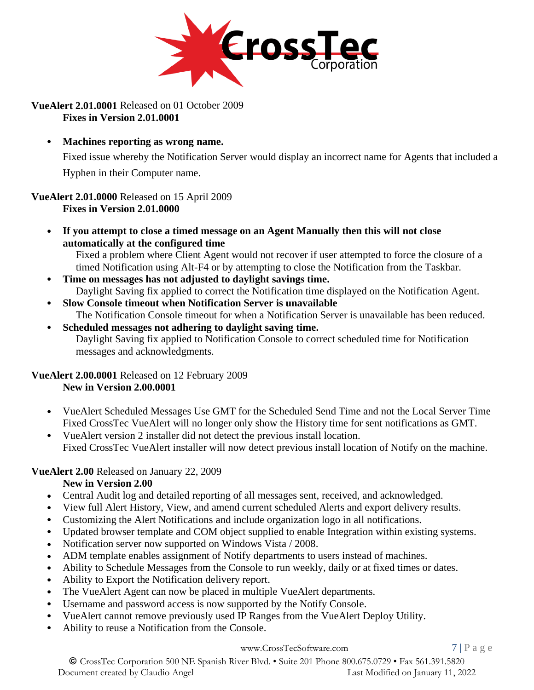

**VueAlert 2.01.0001** Released on 01 October 2009 **Fixes in Version 2.01.0001**

• **Machines reporting as wrong name.**

Fixed issue whereby the Notification Server would display an incorrect name for Agents that included a Hyphen in their Computer name.

**VueAlert 2.01.0000** Released on 15 April 2009 **Fixes in Version 2.01.0000**

• **If you attempt to close a timed message on an Agent Manually then this will not close automatically at the configured time**

Fixed a problem where Client Agent would not recover if user attempted to force the closure of a timed Notification using Alt-F4 or by attempting to close the Notification from the Taskbar.

- **Time on messages has not adjusted to daylight savings time.** Daylight Saving fix applied to correct the Notification time displayed on the Notification Agent.
- **Slow Console timeout when Notification Server is unavailable** The Notification Console timeout for when a Notification Server is unavailable has been reduced.
- **Scheduled messages not adhering to daylight saving time.** Daylight Saving fix applied to Notification Console to correct scheduled time for Notification messages and acknowledgments.

#### **VueAlert 2.00.0001** Released on 12 February 2009 **New in Version 2.00.0001**

- VueAlert Scheduled Messages Use GMT for the Scheduled Send Time and not the Local Server Time Fixed CrossTec VueAlert will no longer only show the History time for sent notifications as GMT.
- VueAlert version 2 installer did not detect the previous install location. Fixed CrossTec VueAlert installer will now detect previous install location of Notify on the machine.

# **VueAlert 2.00** Released on January 22, 2009

### **New in Version 2.00**

- Central Audit log and detailed reporting of all messages sent, received, and acknowledged.
- View full Alert History, View, and amend current scheduled Alerts and export delivery results.
- Customizing the Alert Notifications and include organization logo in all notifications.
- Updated browser template and COM object supplied to enable Integration within existing systems.
- Notification server now supported on Windows Vista / 2008.
- ADM template enables assignment of Notify departments to users instead of machines.
- Ability to Schedule Messages from the Console to run weekly, daily or at fixed times or dates.
- Ability to Export the Notification delivery report.
- The VueAlert Agent can now be placed in multiple VueAlert departments.
- Username and password access is now supported by the Notify Console.
- VueAlert cannot remove previously used IP Ranges from the VueAlert Deploy Utility.
- Ability to reuse a Notification from the Console.

#### [www.CrossTecSoftware.com](http://www.crosstecsoftware.com/) 7 | P a g e